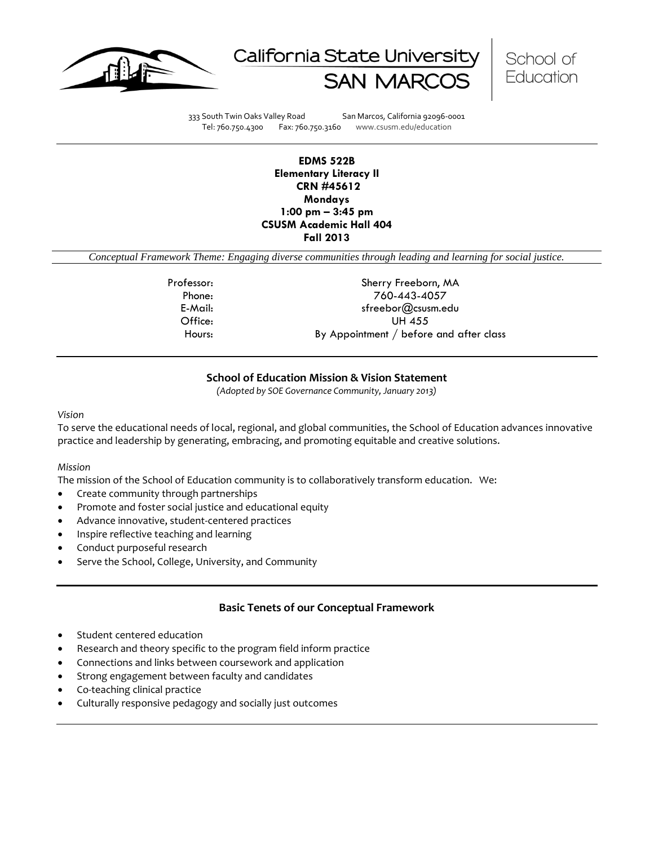





333 South Twin Oaks Valley Road San Marcos, California 92096-0001 Tel: 760.750.4300 Fax: 760.750.3160 www.csusm.edu/education

## **EDMS 522B Elementary Literacy II CRN #45612 Mondays 1:00 pm – 3:45 pm CSUSM Academic Hall 404 Fall 2013**

*Conceptual Framework Theme: Engaging diverse communities through leading and learning for social justice.*

Professor: Sherry Freeborn, MA Phone: 760-443-4057 E-Mail: sfreebor@csusm.edu Office: UH 455 Hours: By Appointment / before and after class

# **School of Education Mission & Vision Statement**

*(Adopted by SOE Governance Community, January 2013)*

*Vision*

To serve the educational needs of local, regional, and global communities, the School of Education advances innovative practice and leadership by generating, embracing, and promoting equitable and creative solutions.

## *Mission*

The mission of the School of Education community is to collaboratively transform education. We:

- Create community through partnerships
- Promote and foster social justice and educational equity
- Advance innovative, student-centered practices
- Inspire reflective teaching and learning
- Conduct purposeful research
- Serve the School, College, University, and Community

# **Basic Tenets of our Conceptual Framework**

- Student centered education
- Research and theory specific to the program field inform practice
- Connections and links between coursework and application
- Strong engagement between faculty and candidates
- Co-teaching clinical practice
- Culturally responsive pedagogy and socially just outcomes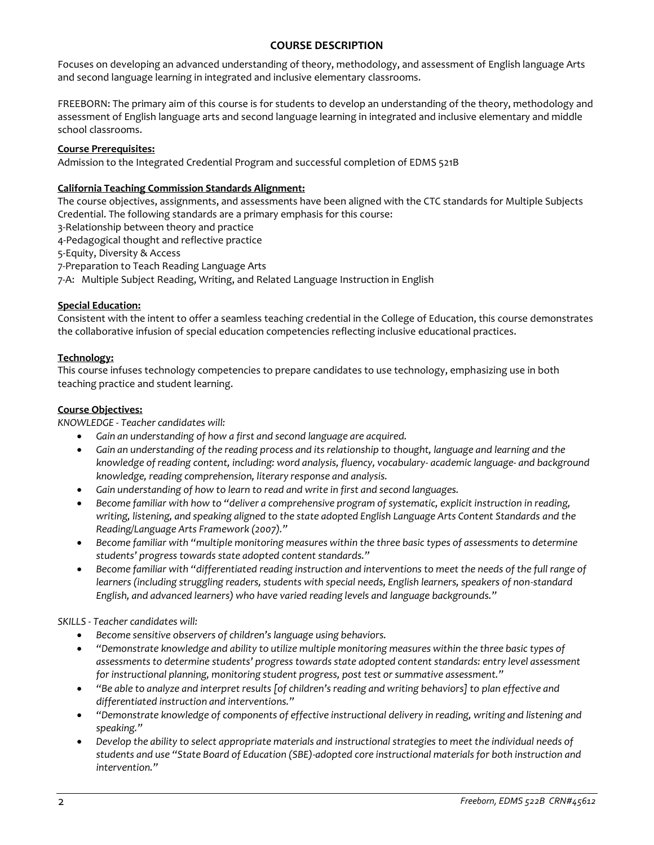# **COURSE DESCRIPTION**

Focuses on developing an advanced understanding of theory, methodology, and assessment of English language Arts and second language learning in integrated and inclusive elementary classrooms.

FREEBORN: The primary aim of this course is for students to develop an understanding of the theory, methodology and assessment of English language arts and second language learning in integrated and inclusive elementary and middle school classrooms.

# **Course Prerequisites:**

Admission to the Integrated Credential Program and successful completion of EDMS 521B

## **California Teaching Commission Standards Alignment:**

The course objectives, assignments, and assessments have been aligned with the CTC standards for Multiple Subjects Credential. The following standards are a primary emphasis for this course:

- 3-Relationship between theory and practice
- 4-Pedagogical thought and reflective practice
- 5-Equity, Diversity & Access
- 7-Preparation to Teach Reading Language Arts
- 7-A: Multiple Subject Reading, Writing, and Related Language Instruction in English

## **Special Education:**

Consistent with the intent to offer a seamless teaching credential in the College of Education, this course demonstrates the collaborative infusion of special education competencies reflecting inclusive educational practices.

## **Technology:**

This course infuses technology competencies to prepare candidates to use technology, emphasizing use in both teaching practice and student learning.

## **Course Objectives:**

*KNOWLEDGE - Teacher candidates will:*

- *Gain an understanding of how a first and second language are acquired.*
- *Gain an understanding of the reading process and its relationship to thought, language and learning and the knowledge of reading content, including: word analysis, fluency, vocabulary- academic language- and background knowledge, reading comprehension, literary response and analysis.*
- *Gain understanding of how to learn to read and write in first and second languages.*
- *Become familiar with how to "deliver a comprehensive program of systematic, explicit instruction in reading, writing, listening, and speaking aligned to the state adopted English Language Arts Content Standards and the Reading/Language Arts Framework (2007)."*
- *Become familiar with "multiple monitoring measures within the three basic types of assessments to determine students' progress towards state adopted content standards."*
- *Become familiar with "differentiated reading instruction and interventions to meet the needs of the full range of learners (including struggling readers, students with special needs, English learners, speakers of non-standard English, and advanced learners) who have varied reading levels and language backgrounds."*

*SKILLS - Teacher candidates will:*

- *Become sensitive observers of children's language using behaviors.*
- *"Demonstrate knowledge and ability to utilize multiple monitoring measures within the three basic types of assessments to determine students' progress towards state adopted content standards: entry level assessment for instructional planning, monitoring student progress, post test or summative assessment."*
- *"Be able to analyze and interpret results [of children's reading and writing behaviors] to plan effective and differentiated instruction and interventions."*
- *"Demonstrate knowledge of components of effective instructional delivery in reading, writing and listening and speaking."*
- *Develop the ability to select appropriate materials and instructional strategies to meet the individual needs of students and use "State Board of Education (SBE)-adopted core instructional materials for both instruction and intervention."*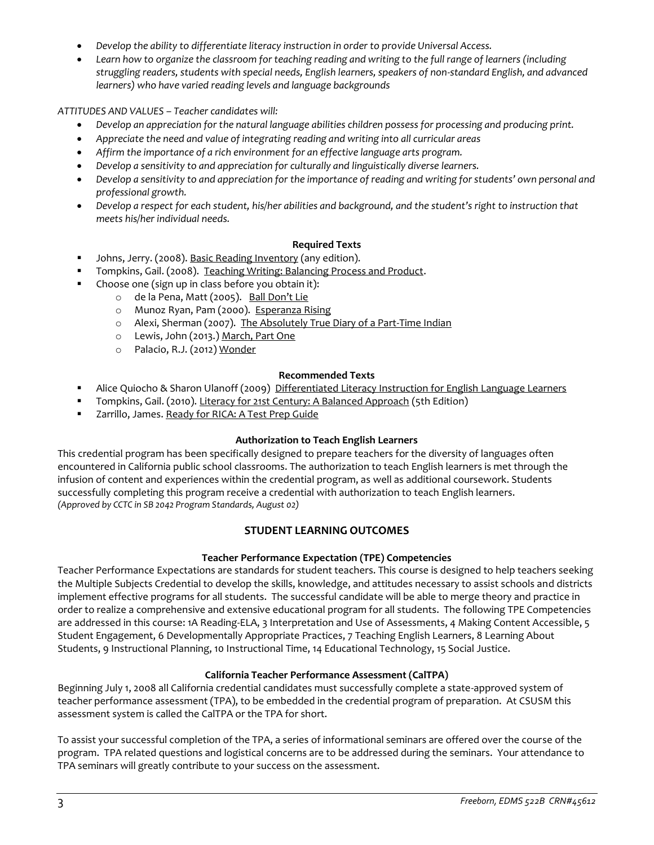- *Develop the ability to differentiate literacy instruction in order to provide Universal Access.*
- *Learn how to organize the classroom for teaching reading and writing to the full range of learners (including struggling readers, students with special needs, English learners, speakers of non-standard English, and advanced learners) who have varied reading levels and language backgrounds*

*ATTITUDES AND VALUES – Teacher candidates will:*

- *Develop an appreciation for the natural language abilities children possess for processing and producing print.*
- *Appreciate the need and value of integrating reading and writing into all curricular areas*
- *Affirm the importance of a rich environment for an effective language arts program.*
- *Develop a sensitivity to and appreciation for culturally and linguistically diverse learners.*
- *Develop a sensitivity to and appreciation for the importance of reading and writing for students' own personal and professional growth.*
- *Develop a respect for each student, his/her abilities and background, and the student's right to instruction that meets his/her individual needs.*

# **Required Texts**

- Johns, Jerry. (2008). Basic Reading Inventory (any edition).
- Tompkins, Gail. (2008). Teaching Writing: Balancing Process and Product.
- Choose one (sign up in class before you obtain it):
	- o de la Pena, Matt (2005). Ball Don't Lie
	- o Munoz Ryan, Pam (2000). Esperanza Rising
	- o Alexi, Sherman (2007). The Absolutely True Diary of a Part-Time Indian
	- o Lewis, John (2013.) March, Part One
	- o Palacio, R.J. (2012) Wonder

# **Recommended Texts**

- Alice Quiocho & Sharon Ulanoff (2009) Differentiated Literacy Instruction for English Language Learners
- Tompkins, Gail. (2010). Literacy for 21st Century: A Balanced Approach (5th Edition)
- Zarrillo, James. Ready for RICA: A Test Prep Guide

# **Authorization to Teach English Learners**

This credential program has been specifically designed to prepare teachers for the diversity of languages often encountered in California public school classrooms. The authorization to teach English learners is met through the infusion of content and experiences within the credential program, as well as additional coursework. Students successfully completing this program receive a credential with authorization to teach English learners. *(Approved by CCTC in SB 2042 Program Standards, August 02)*

# **STUDENT LEARNING OUTCOMES**

# **Teacher Performance Expectation (TPE) Competencies**

Teacher Performance Expectations are standards for student teachers. This course is designed to help teachers seeking the Multiple Subjects Credential to develop the skills, knowledge, and attitudes necessary to assist schools and districts implement effective programs for all students. The successful candidate will be able to merge theory and practice in order to realize a comprehensive and extensive educational program for all students. The following TPE Competencies are addressed in this course: 1A Reading-ELA, 3 Interpretation and Use of Assessments, 4 Making Content Accessible, 5 Student Engagement, 6 Developmentally Appropriate Practices, 7 Teaching English Learners, 8 Learning About Students, 9 Instructional Planning, 10 Instructional Time, 14 Educational Technology, 15 Social Justice.

# **California Teacher Performance Assessment (CalTPA)**

Beginning July 1, 2008 all California credential candidates must successfully complete a state-approved system of teacher performance assessment (TPA), to be embedded in the credential program of preparation. At CSUSM this assessment system is called the CalTPA or the TPA for short.

To assist your successful completion of the TPA, a series of informational seminars are offered over the course of the program. TPA related questions and logistical concerns are to be addressed during the seminars. Your attendance to TPA seminars will greatly contribute to your success on the assessment.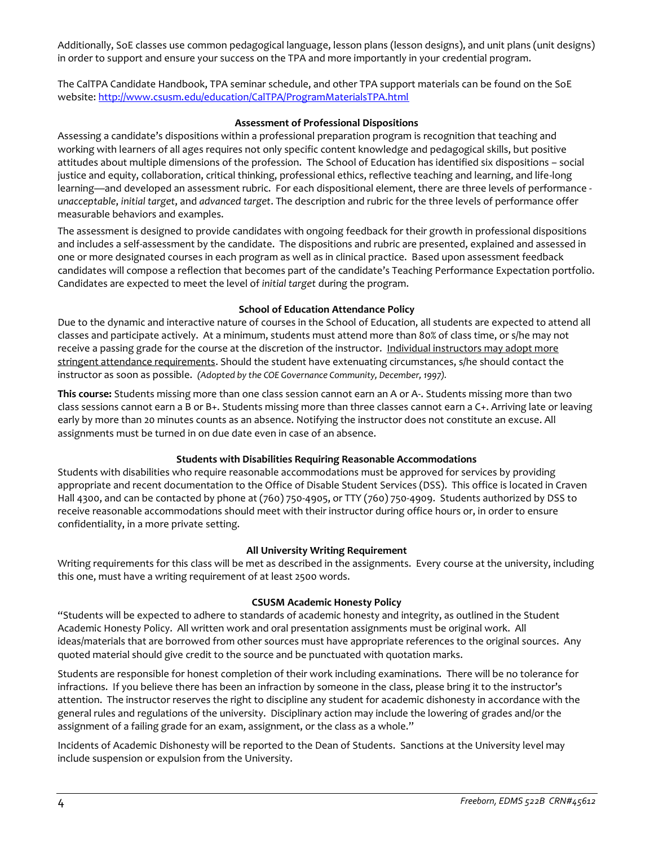Additionally, SoE classes use common pedagogical language, lesson plans (lesson designs), and unit plans (unit designs) in order to support and ensure your success on the TPA and more importantly in your credential program.

The CalTPA Candidate Handbook, TPA seminar schedule, and other TPA support materials can be found on the SoE website:<http://www.csusm.edu/education/CalTPA/ProgramMaterialsTPA.html>

## **Assessment of Professional Dispositions**

Assessing a candidate's dispositions within a professional preparation program is recognition that teaching and working with learners of all ages requires not only specific content knowledge and pedagogical skills, but positive attitudes about multiple dimensions of the profession. The School of Education has identified six dispositions – social justice and equity, collaboration, critical thinking, professional ethics, reflective teaching and learning, and life-long learning—and developed an assessment rubric. For each dispositional element, there are three levels of performance *unacceptable*, *initial target*, and *advanced target*. The description and rubric for the three levels of performance offer measurable behaviors and examples.

The assessment is designed to provide candidates with ongoing feedback for their growth in professional dispositions and includes a self-assessment by the candidate. The dispositions and rubric are presented, explained and assessed in one or more designated courses in each program as well as in clinical practice. Based upon assessment feedback candidates will compose a reflection that becomes part of the candidate's Teaching Performance Expectation portfolio. Candidates are expected to meet the level of *initial target* during the program.

## **School of Education Attendance Policy**

Due to the dynamic and interactive nature of courses in the School of Education, all students are expected to attend all classes and participate actively. At a minimum, students must attend more than 80% of class time, or s/he may not receive a passing grade for the course at the discretion of the instructor. Individual instructors may adopt more stringent attendance requirements. Should the student have extenuating circumstances, s/he should contact the instructor as soon as possible. *(Adopted by the COE Governance Community, December, 1997).*

**This course:** Students missing more than one class session cannot earn an A or A-. Students missing more than two class sessions cannot earn a B or B+. Students missing more than three classes cannot earn a C+. Arriving late or leaving early by more than 20 minutes counts as an absence. Notifying the instructor does not constitute an excuse. All assignments must be turned in on due date even in case of an absence.

# **Students with Disabilities Requiring Reasonable Accommodations**

Students with disabilities who require reasonable accommodations must be approved for services by providing appropriate and recent documentation to the Office of Disable Student Services (DSS). This office is located in Craven Hall 4300, and can be contacted by phone at (760) 750-4905, or TTY (760) 750-4909. Students authorized by DSS to receive reasonable accommodations should meet with their instructor during office hours or, in order to ensure confidentiality, in a more private setting.

## **All University Writing Requirement**

Writing requirements for this class will be met as described in the assignments. Every course at the university, including this one, must have a writing requirement of at least 2500 words.

# **CSUSM Academic Honesty Policy**

"Students will be expected to adhere to standards of academic honesty and integrity, as outlined in the Student Academic Honesty Policy. All written work and oral presentation assignments must be original work. All ideas/materials that are borrowed from other sources must have appropriate references to the original sources. Any quoted material should give credit to the source and be punctuated with quotation marks.

Students are responsible for honest completion of their work including examinations. There will be no tolerance for infractions. If you believe there has been an infraction by someone in the class, please bring it to the instructor's attention. The instructor reserves the right to discipline any student for academic dishonesty in accordance with the general rules and regulations of the university. Disciplinary action may include the lowering of grades and/or the assignment of a failing grade for an exam, assignment, or the class as a whole."

Incidents of Academic Dishonesty will be reported to the Dean of Students. Sanctions at the University level may include suspension or expulsion from the University.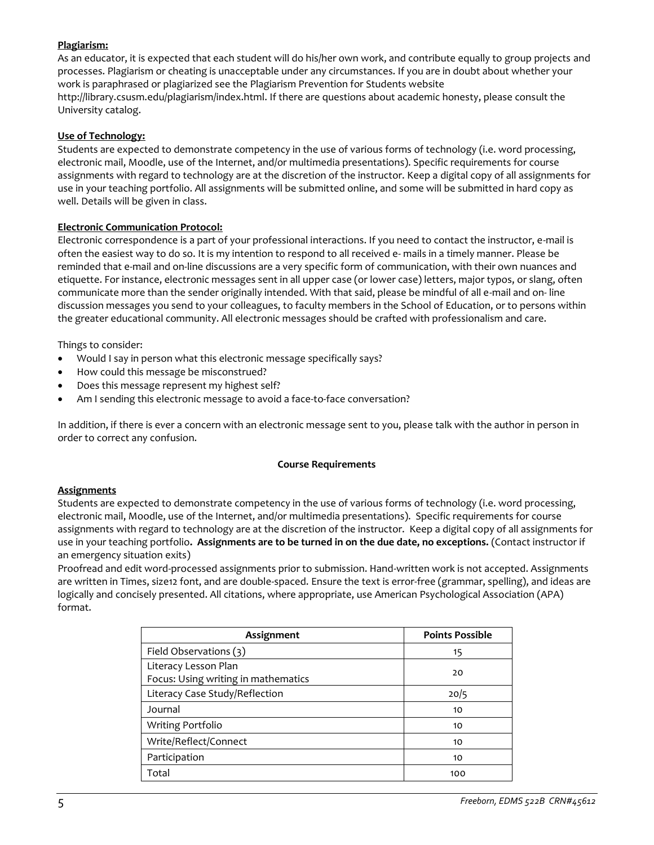# **Plagiarism:**

As an educator, it is expected that each student will do his/her own work, and contribute equally to group projects and processes. Plagiarism or cheating is unacceptable under any circumstances. If you are in doubt about whether your work is paraphrased or plagiarized see the Plagiarism Prevention for Students website http://library.csusm.edu/plagiarism/index.html. If there are questions about academic honesty, please consult the University catalog.

## **Use of Technology:**

Students are expected to demonstrate competency in the use of various forms of technology (i.e. word processing, electronic mail, Moodle, use of the Internet, and/or multimedia presentations). Specific requirements for course assignments with regard to technology are at the discretion of the instructor. Keep a digital copy of all assignments for use in your teaching portfolio. All assignments will be submitted online, and some will be submitted in hard copy as well. Details will be given in class.

## **Electronic Communication Protocol:**

Electronic correspondence is a part of your professional interactions. If you need to contact the instructor, e-mail is often the easiest way to do so. It is my intention to respond to all received e- mails in a timely manner. Please be reminded that e-mail and on-line discussions are a very specific form of communication, with their own nuances and etiquette. For instance, electronic messages sent in all upper case (or lower case) letters, major typos, or slang, often communicate more than the sender originally intended. With that said, please be mindful of all e-mail and on- line discussion messages you send to your colleagues, to faculty members in the School of Education, or to persons within the greater educational community. All electronic messages should be crafted with professionalism and care.

Things to consider:

- Would I say in person what this electronic message specifically says?
- How could this message be misconstrued?
- Does this message represent my highest self?
- Am I sending this electronic message to avoid a face-to-face conversation?

In addition, if there is ever a concern with an electronic message sent to you, please talk with the author in person in order to correct any confusion.

# **Course Requirements**

## **Assignments**

Students are expected to demonstrate competency in the use of various forms of technology (i.e. word processing, electronic mail, Moodle, use of the Internet, and/or multimedia presentations). Specific requirements for course assignments with regard to technology are at the discretion of the instructor. Keep a digital copy of all assignments for use in your teaching portfolio**. Assignments are to be turned in on the due date, no exceptions.** (Contact instructor if an emergency situation exits)

Proofread and edit word-processed assignments prior to submission. Hand-written work is not accepted. Assignments are written in Times, size12 font, and are double-spaced. Ensure the text is error-free (grammar, spelling), and ideas are logically and concisely presented. All citations, where appropriate, use American Psychological Association (APA) format.

| Assignment                                                  | <b>Points Possible</b> |
|-------------------------------------------------------------|------------------------|
| Field Observations (3)                                      | 15                     |
| Literacy Lesson Plan<br>Focus: Using writing in mathematics | 20                     |
| Literacy Case Study/Reflection                              | 20/5                   |
| Journal                                                     | 10                     |
| Writing Portfolio                                           | 10                     |
| Write/Reflect/Connect                                       | 10                     |
| Participation                                               | 10                     |
| Total                                                       | 100                    |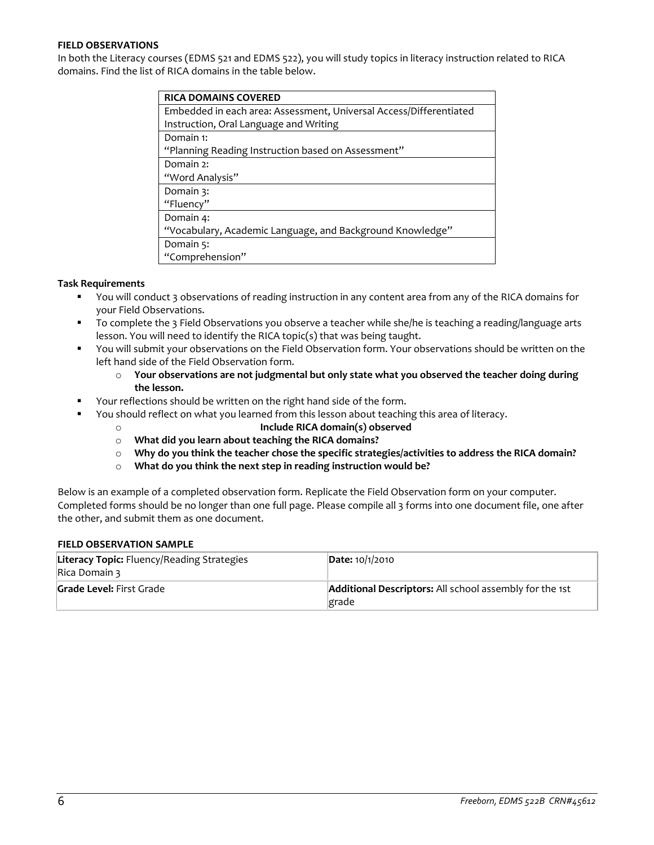## **FIELD OBSERVATIONS**

In both the Literacy courses (EDMS 521 and EDMS 522), you will study topics in literacy instruction related to RICA domains. Find the list of RICA domains in the table below.

| <b>RICA DOMAINS COVERED</b>                                        |
|--------------------------------------------------------------------|
| Embedded in each area: Assessment, Universal Access/Differentiated |
| Instruction, Oral Language and Writing                             |
| Domain 1:                                                          |
| "Planning Reading Instruction based on Assessment"                 |
| Domain 2:                                                          |
| "Word Analysis"                                                    |
| Domain 3:                                                          |
| "Fluency"                                                          |
| Domain 4:                                                          |
| "Vocabulary, Academic Language, and Background Knowledge"          |
| Domain 5:                                                          |
| "Comprehension"                                                    |

## **Task Requirements**

- You will conduct 3 observations of reading instruction in any content area from any of the RICA domains for your Field Observations.
- To complete the 3 Field Observations you observe a teacher while she/he is teaching a reading/language arts lesson. You will need to identify the RICA topic(s) that was being taught.
- You will submit your observations on the Field Observation form. Your observations should be written on the left hand side of the Field Observation form.
	- o **Your observations are not judgmental but only state what you observed the teacher doing during the lesson.**
- Your reflections should be written on the right hand side of the form.
- You should reflect on what you learned from this lesson about teaching this area of literacy.
	- o **Include RICA domain(s) observed**
	- o **What did you learn about teaching the RICA domains?**
	- o **Why do you think the teacher chose the specific strategies/activities to address the RICA domain?**
	- o **What do you think the next step in reading instruction would be?**

Below is an example of a completed observation form. Replicate the Field Observation form on your computer. Completed forms should be no longer than one full page. Please compile all 3 forms into one document file, one after the other, and submit them as one document.

## **FIELD OBSERVATION SAMPLE**

| <b>Literacy Topic:</b> Fluency/Reading Strategies<br>Rica Domain 3 | <b>Date: 10/1/2010</b>                                                  |
|--------------------------------------------------------------------|-------------------------------------------------------------------------|
| <b>Grade Level: First Grade</b>                                    | <b>Additional Descriptors:</b> All school assembly for the 1st<br>grade |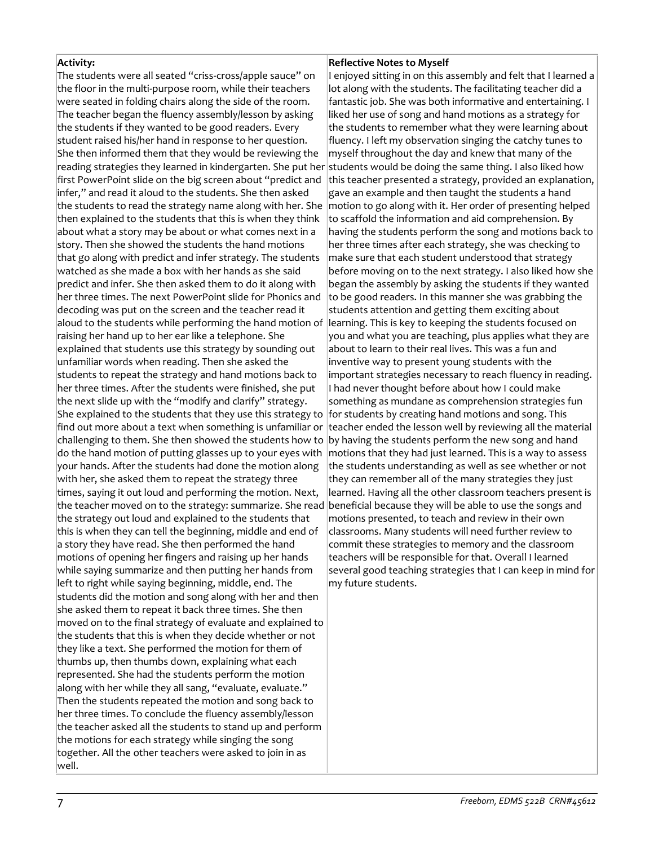## **Activity:**

The students were all seated "criss-cross/apple sauce" on the floor in the multi-purpose room, while their teachers were seated in folding chairs along the side of the room. The teacher began the fluency assembly/lesson by asking the students if they wanted to be good readers. Every student raised his/her hand in response to her question. She then informed them that they would be reviewing the reading strategies they learned in kindergarten. She put her students would be doing the same thing. I also liked how first PowerPoint slide on the big screen about "predict and infer," and read it aloud to the students. She then asked the students to read the strategy name along with her. She then explained to the students that this is when they think about what a story may be about or what comes next in a story. Then she showed the students the hand motions that go along with predict and infer strategy. The students watched as she made a box with her hands as she said predict and infer. She then asked them to do it along with her three times. The next PowerPoint slide for Phonics and decoding was put on the screen and the teacher read it aloud to the students while performing the hand motion of raising her hand up to her ear like a telephone. She explained that students use this strategy by sounding out unfamiliar words when reading. Then she asked the students to repeat the strategy and hand motions back to her three times. After the students were finished, she put the next slide up with the "modify and clarify" strategy. She explained to the students that they use this strategy to find out more about a text when something is unfamiliar or challenging to them. She then showed the students how to do the hand motion of putting glasses up to your eyes with your hands. After the students had done the motion along with her, she asked them to repeat the strategy three times, saying it out loud and performing the motion. Next, the teacher moved on to the strategy: summarize. She read the strategy out loud and explained to the students that this is when they can tell the beginning, middle and end of a story they have read. She then performed the hand motions of opening her fingers and raising up her hands while saying summarize and then putting her hands from left to right while saying beginning, middle, end. The students did the motion and song along with her and then she asked them to repeat it back three times. She then moved on to the final strategy of evaluate and explained to the students that this is when they decide whether or not they like a text. She performed the motion for them of thumbs up, then thumbs down, explaining what each represented. She had the students perform the motion along with her while they all sang, "evaluate, evaluate." Then the students repeated the motion and song back to her three times. To conclude the fluency assembly/lesson the teacher asked all the students to stand up and perform the motions for each strategy while singing the song together. All the other teachers were asked to join in as well.

## **Reflective Notes to Myself**

I enjoyed sitting in on this assembly and felt that I learned a lot along with the students. The facilitating teacher did a fantastic job. She was both informative and entertaining. I liked her use of song and hand motions as a strategy for the students to remember what they were learning about fluency. I left my observation singing the catchy tunes to myself throughout the day and knew that many of the this teacher presented a strategy, provided an explanation, gave an example and then taught the students a hand motion to go along with it. Her order of presenting helped to scaffold the information and aid comprehension. By having the students perform the song and motions back to her three times after each strategy, she was checking to make sure that each student understood that strategy before moving on to the next strategy. I also liked how she began the assembly by asking the students if they wanted to be good readers. In this manner she was grabbing the students attention and getting them exciting about learning. This is key to keeping the students focused on you and what you are teaching, plus applies what they are about to learn to their real lives. This was a fun and inventive way to present young students with the important strategies necessary to reach fluency in reading. I had never thought before about how I could make something as mundane as comprehension strategies fun for students by creating hand motions and song. This teacher ended the lesson well by reviewing all the material by having the students perform the new song and hand motions that they had just learned. This is a way to assess the students understanding as well as see whether or not they can remember all of the many strategies they just learned. Having all the other classroom teachers present is beneficial because they will be able to use the songs and motions presented, to teach and review in their own classrooms. Many students will need further review to commit these strategies to memory and the classroom teachers will be responsible for that. Overall I learned several good teaching strategies that I can keep in mind for my future students.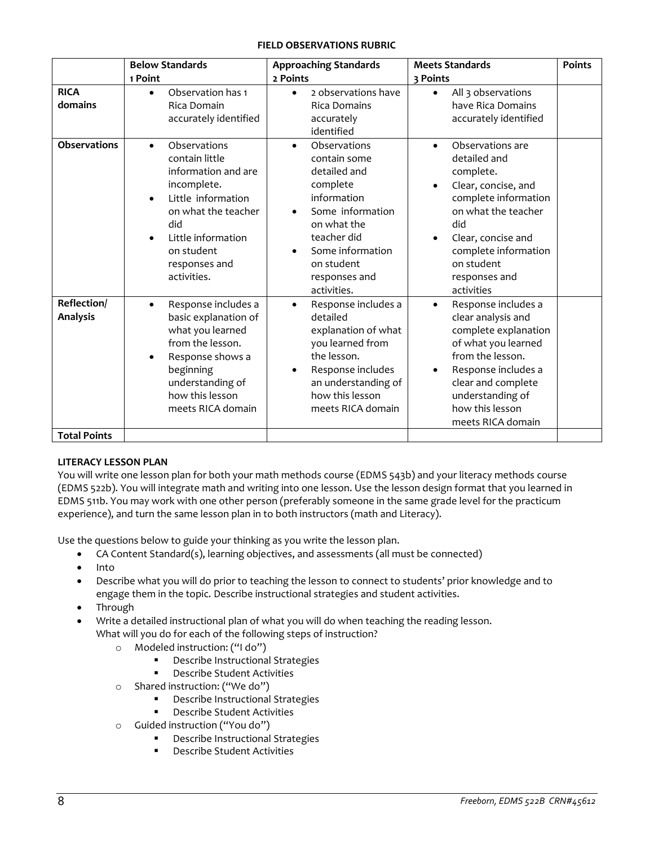## **FIELD OBSERVATIONS RUBRIC**

|                                | <b>Below Standards</b><br>1 Point                                                                                                                                                                                                   | <b>Approaching Standards</b><br>2 Points                                                                                                                                                                 | <b>Meets Standards</b><br>3 Points                                                                                                                                                                                                 | <b>Points</b> |
|--------------------------------|-------------------------------------------------------------------------------------------------------------------------------------------------------------------------------------------------------------------------------------|----------------------------------------------------------------------------------------------------------------------------------------------------------------------------------------------------------|------------------------------------------------------------------------------------------------------------------------------------------------------------------------------------------------------------------------------------|---------------|
| <b>RICA</b><br>domains         | Observation has 1<br>$\bullet$<br>Rica Domain<br>accurately identified                                                                                                                                                              | 2 observations have<br>$\bullet$<br><b>Rica Domains</b><br>accurately<br>identified                                                                                                                      | All 3 observations<br>$\bullet$<br>have Rica Domains<br>accurately identified                                                                                                                                                      |               |
| <b>Observations</b>            | Observations<br>$\bullet$<br>contain little<br>information and are<br>incomplete.<br>Little information<br>$\bullet$<br>on what the teacher<br>did<br>Little information<br>$\bullet$<br>on student<br>responses and<br>activities. | Observations<br>$\bullet$<br>contain some<br>detailed and<br>complete<br>information<br>Some information<br>on what the<br>teacher did<br>Some information<br>on student<br>responses and<br>activities. | Observations are<br>$\bullet$<br>detailed and<br>complete.<br>Clear, concise, and<br>complete information<br>on what the teacher<br>did<br>Clear, concise and<br>complete information<br>on student<br>responses and<br>activities |               |
| Reflection/<br><b>Analysis</b> | Response includes a<br>$\bullet$<br>basic explanation of<br>what you learned<br>from the lesson.<br>Response shows a<br>$\bullet$<br>beginning<br>understanding of<br>how this lesson<br>meets RICA domain                          | Response includes a<br>$\bullet$<br>detailed<br>explanation of what<br>you learned from<br>the lesson.<br>Response includes<br>$\bullet$<br>an understanding of<br>how this lesson<br>meets RICA domain  | Response includes a<br>$\bullet$<br>clear analysis and<br>complete explanation<br>of what you learned<br>from the lesson.<br>Response includes a<br>clear and complete<br>understanding of<br>how this lesson<br>meets RICA domain |               |
| <b>Total Points</b>            |                                                                                                                                                                                                                                     |                                                                                                                                                                                                          |                                                                                                                                                                                                                                    |               |

# **LITERACY LESSON PLAN**

You will write one lesson plan for both your math methods course (EDMS 543b) and your literacy methods course (EDMS 522b). You will integrate math and writing into one lesson. Use the lesson design format that you learned in EDMS 511b. You may work with one other person (preferably someone in the same grade level for the practicum experience), and turn the same lesson plan in to both instructors (math and Literacy).

Use the questions below to guide your thinking as you write the lesson plan.

- CA Content Standard(s), learning objectives, and assessments (all must be connected)
- $\bullet$  Into
- Describe what you will do prior to teaching the lesson to connect to students' prior knowledge and to engage them in the topic. Describe instructional strategies and student activities.
- Through
- Write a detailed instructional plan of what you will do when teaching the reading lesson. What will you do for each of the following steps of instruction?
	- o Modeled instruction: ("I do")
		- Describe Instructional Strategies
		- **•** Describe Student Activities
	- o Shared instruction: ("We do")
		- **•** Describe Instructional Strategies
		- **•** Describe Student Activities
	- o Guided instruction ("You do")
		- **•** Describe Instructional Strategies
		- Describe Student Activities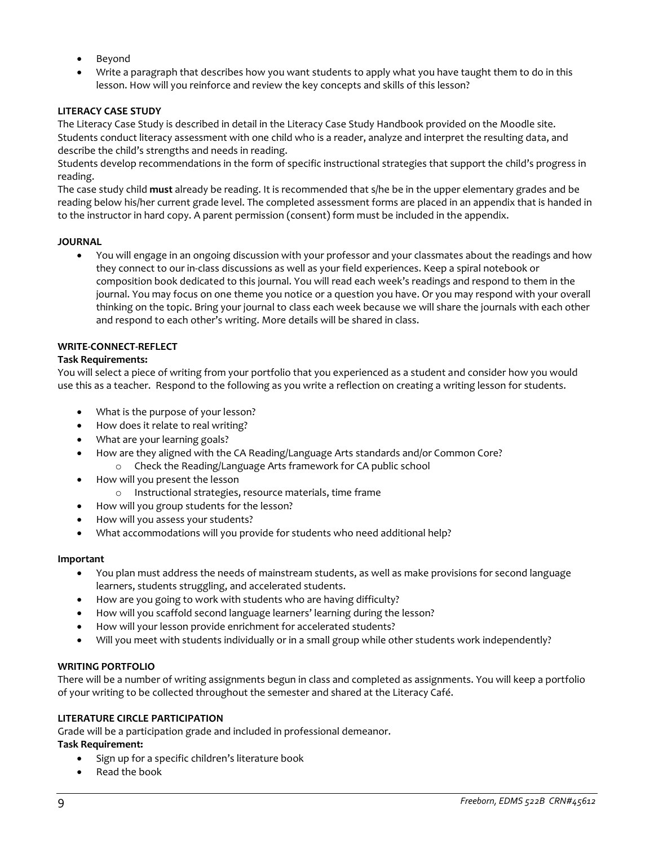- Beyond
- Write a paragraph that describes how you want students to apply what you have taught them to do in this lesson. How will you reinforce and review the key concepts and skills of this lesson?

# **LITERACY CASE STUDY**

The Literacy Case Study is described in detail in the Literacy Case Study Handbook provided on the Moodle site. Students conduct literacy assessment with one child who is a reader, analyze and interpret the resulting data, and describe the child's strengths and needs in reading.

Students develop recommendations in the form of specific instructional strategies that support the child's progress in reading.

The case study child **must** already be reading. It is recommended that s/he be in the upper elementary grades and be reading below his/her current grade level. The completed assessment forms are placed in an appendix that is handed in to the instructor in hard copy. A parent permission (consent) form must be included in the appendix.

## **JOURNAL**

 You will engage in an ongoing discussion with your professor and your classmates about the readings and how they connect to our in-class discussions as well as your field experiences. Keep a spiral notebook or composition book dedicated to this journal. You will read each week's readings and respond to them in the journal. You may focus on one theme you notice or a question you have. Or you may respond with your overall thinking on the topic. Bring your journal to class each week because we will share the journals with each other and respond to each other's writing. More details will be shared in class.

## **WRITE-CONNECT-REFLECT**

## **Task Requirements:**

You will select a piece of writing from your portfolio that you experienced as a student and consider how you would use this as a teacher. Respond to the following as you write a reflection on creating a writing lesson for students.

- What is the purpose of your lesson?
- How does it relate to real writing?
- What are your learning goals?
- How are they aligned with the CA Reading/Language Arts standards and/or Common Core?
	- o Check the Reading/Language Arts framework for CA public school
- How will you present the lesson
	- o Instructional strategies, resource materials, time frame
- How will you group students for the lesson?
- How will you assess your students?
- What accommodations will you provide for students who need additional help?

## **Important**

- You plan must address the needs of mainstream students, as well as make provisions for second language learners, students struggling, and accelerated students.
- How are you going to work with students who are having difficulty?
- How will you scaffold second language learners' learning during the lesson?
- How will your lesson provide enrichment for accelerated students?
- Will you meet with students individually or in a small group while other students work independently?

## **WRITING PORTFOLIO**

There will be a number of writing assignments begun in class and completed as assignments. You will keep a portfolio of your writing to be collected throughout the semester and shared at the Literacy Café.

## **LITERATURE CIRCLE PARTICIPATION**

Grade will be a participation grade and included in professional demeanor.

**Task Requirement:**

- Sign up for a specific children's literature book
- Read the book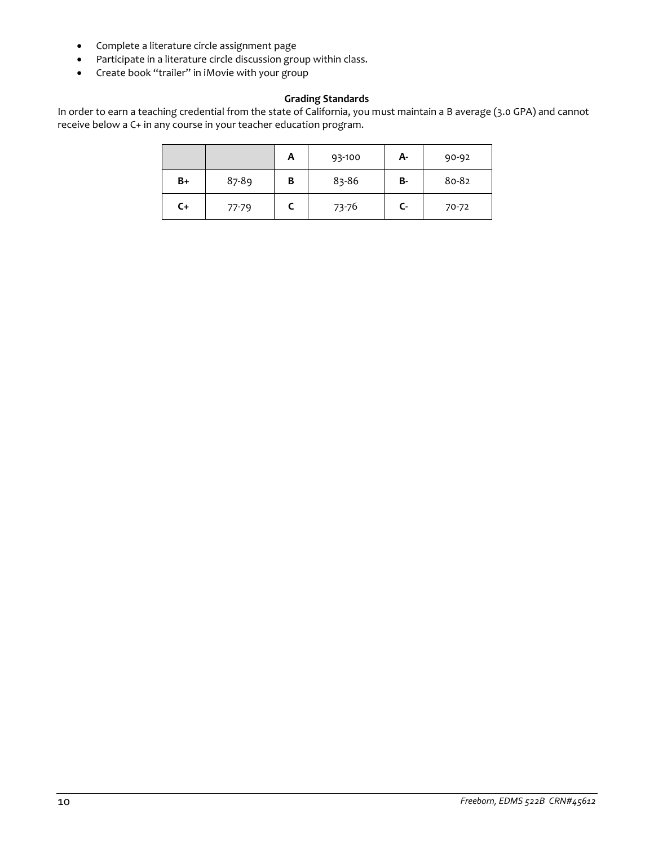- Complete a literature circle assignment page
- Participate in a literature circle discussion group within class.
- Create book "trailer" in iMovie with your group

# **Grading Standards**

In order to earn a teaching credential from the state of California, you must maintain a B average (3.0 GPA) and cannot receive below a C+ in any course in your teacher education program.

|      |           | Α | 93-100 | А- | 90-92 |
|------|-----------|---|--------|----|-------|
| B+   | 87-89     | В | 83-86  | B- | 80-82 |
| $C+$ | $77 - 79$ |   | 73-76  | C- | 70-72 |